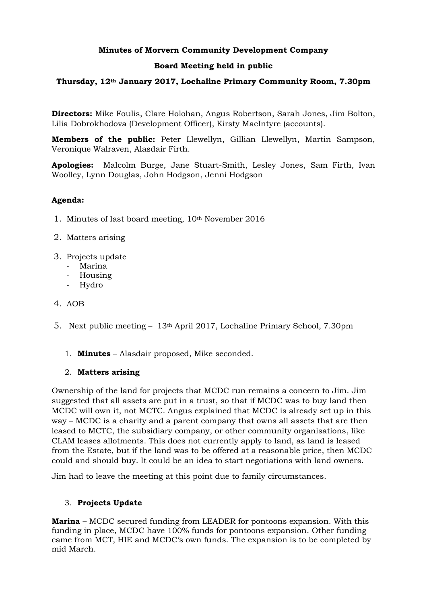## **Minutes of Morvern Community Development Company**

### **Board Meeting held in public**

### **Thursday, 12th January 2017, Lochaline Primary Community Room, 7.30pm**

**Directors:** Mike Foulis, Clare Holohan, Angus Robertson, Sarah Jones, Jim Bolton, Lilia Dobrokhodova (Development Officer), Kirsty MacIntyre (accounts).

**Members of the public:** Peter Llewellyn, Gillian Llewellyn, Martin Sampson, Veronique Walraven, Alasdair Firth.

**Apologies:** Malcolm Burge, Jane Stuart-Smith, Lesley Jones, Sam Firth, Ivan Woolley, Lynn Douglas, John Hodgson, Jenni Hodgson

### **Agenda:**

- 1. Minutes of last board meeting, 10th November 2016
- 2. Matters arising
- 3. Projects update
	- Marina
	- Housing
	- Hydro
- 4. AOB
- 5. Next public meeting 13th April 2017, Lochaline Primary School, 7.30pm
	- 1. **Minutes** Alasdair proposed, Mike seconded.

#### 2. **Matters arising**

Ownership of the land for projects that MCDC run remains a concern to Jim. Jim suggested that all assets are put in a trust, so that if MCDC was to buy land then MCDC will own it, not MCTC. Angus explained that MCDC is already set up in this way – MCDC is a charity and a parent company that owns all assets that are then leased to MCTC, the subsidiary company, or other community organisations, like CLAM leases allotments. This does not currently apply to land, as land is leased from the Estate, but if the land was to be offered at a reasonable price, then MCDC could and should buy. It could be an idea to start negotiations with land owners.

Jim had to leave the meeting at this point due to family circumstances.

## 3. **Projects Update**

**Marina** – MCDC secured funding from LEADER for pontoons expansion. With this funding in place, MCDC have 100% funds for pontoons expansion. Other funding came from MCT, HIE and MCDC's own funds. The expansion is to be completed by mid March.